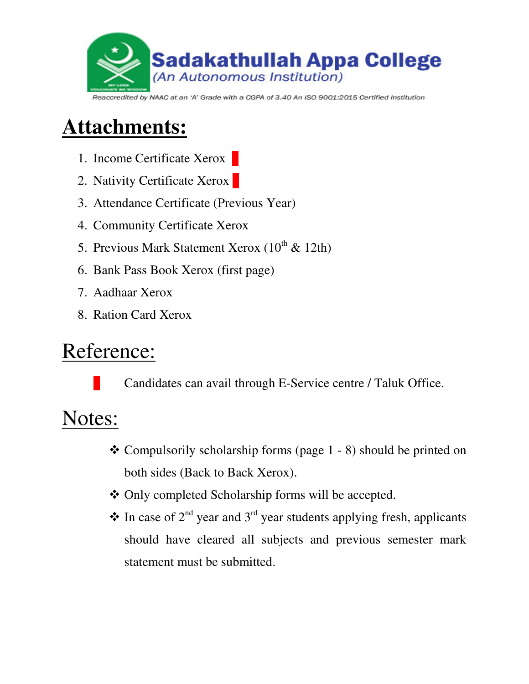

#### Reaccredited by NAAC at an 'A' Grade with a CGPA of 3.40 An ISO 9001:2015 Certified Institution

# **Attachments:**

- 1. Income Certificate Xerox
- 2. Nativity Certificate Xerox
- 3. Attendance Certificate (Previous Year)
- 4. Community Certificate Xerox
- 5. Previous Mark Statement Xerox  $(10^{th} \& 12th)$
- 6. Bank Pass Book Xerox (first page)
- 7. Aadhaar Xerox
- 8. Ration Card Xerox

## Reference:

Candidates can avail through E-Service centre / Taluk Office.

# Notes:

- $\triangle$  Compulsorily scholarship forms (page 1 8) should be printed on both sides (Back to Back Xerox).
- Only completed Scholarship forms will be accepted.
- $\triangle$  In case of 2<sup>nd</sup> year and 3<sup>rd</sup> year students applying fresh, applicants should have cleared all subjects and previous semester mark statement must be submitted.